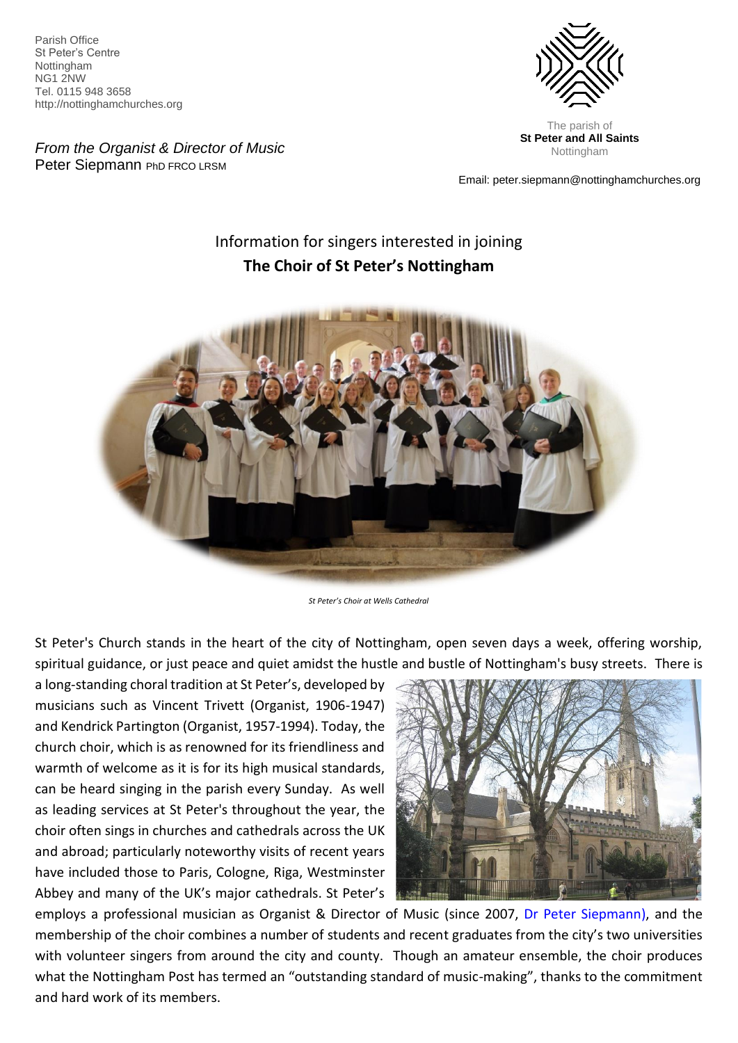Parish Office St Peter's Centre Nottingham NG1 2NW Tel. 0115 948 3658 http://nottinghamchurches.org

*From the Organist & Director of Music* Peter Siepmann PhD FRCO LRSM



**St Peter and All Saints**  Nottingham

Email: peter.siepmann@nottinghamchurches.org

# Information for singers interested in joining **The Choir of St Peter's Nottingham**



*St Peter's Choir at Wells Cathedral*

St Peter's Church stands in the heart of the city of Nottingham, open seven days a week, offering worship, spiritual guidance, or just peace and quiet amidst the hustle and bustle of Nottingham's busy streets. There is

a long-standing choral tradition at St Peter's, developed by musicians such as Vincent Trivett (Organist, 1906-1947) and Kendrick Partington (Organist, 1957-1994). Today, the church choir, which is as renowned for its friendliness and warmth of welcome as it is for its high musical standards, can be heard singing in the parish every Sunday. As well as leading services at St Peter's throughout the year, the choir often sings in churches and cathedrals across the UK and abroad; particularly noteworthy visits of recent years have included those to Paris, Cologne, Riga, Westminster Abbey and many of the UK's major cathedrals. St Peter's



employs a professional musician as Organist & Director of Music (since 2007, [Dr Peter Siepmann\)](https://www.nottinghamchurches.org/music/st-peters-choir/organist-director-music/), and the membership of the choir combines a number of students and recent graduates from the city's two universities with volunteer singers from around the city and county. Though an amateur ensemble, the choir produces what the Nottingham Post has termed an "outstanding standard of music-making", thanks to the commitment and hard work of its members.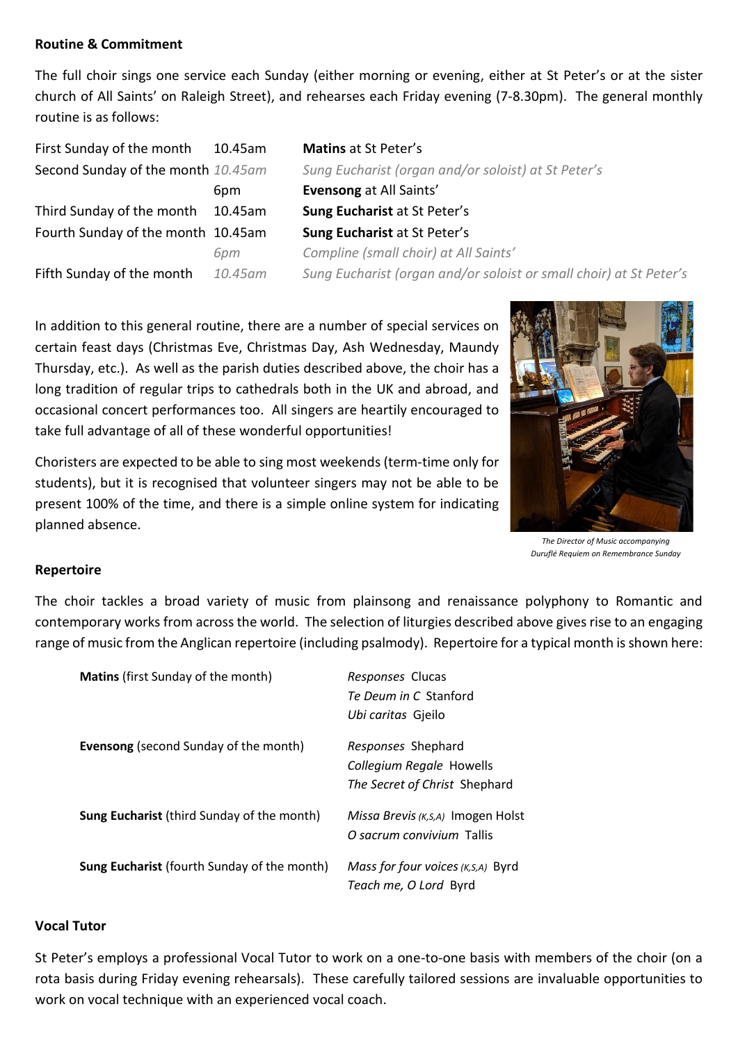### **Routine & Commitment**

The full choir sings one service each Sunday (either morning or evening, either at St Peter's or at the sister church of All Saints' on Raleigh Street), and rehearses each Friday evening (7-8.30pm). The general monthly routine is as follows:

First Sunday of the month 10.45am **Matins** at St Peter's Third Sunday of the month 10.45am **Sung Eucharist** at St Peter's Fourth Sunday of the month 10.45am **Sung Eucharist** at St Peter's

Second Sunday of the month *10.45am Sung Eucharist (organ and/or soloist) at St Peter's* 6pm **Evensong** at All Saints' *6pm Compline (small choir) at All Saints'* Fifth Sunday of the month *10.45am Sung Eucharist (organ and/or soloist or small choir) at St Peter's*

In addition to this general routine, there are a number of special services on certain feast days (Christmas Eve, Christmas Day, Ash Wednesday, Maundy Thursday, etc.). As well as the parish duties described above, the choir has a long tradition of regular trips to cathedrals both in the UK and abroad, and occasional concert performances too. All singers are heartily encouraged to take full advantage of all of these wonderful opportunities!

Choristers are expected to be able to sing most weekends (term-time only for students), but it is recognised that volunteer singers may not be able to be present 100% of the time, and there is a simple online system for indicating planned absence.



*The Director of Music accompanying Duruflé Requiem on Remembrance Sunday*

### **Repertoire**

The choir tackles a broad variety of music from plainsong and renaissance polyphony to Romantic and contemporary works from across the world. The selection of liturgies described above gives rise to an engaging range of music from the Anglican repertoire (including psalmody). Repertoire for a typical month is shown here:

| <b>Matins</b> (first Sunday of the month)          | <i>Responses</i> Clucas<br><i>Te Deum in C. Stanford</i><br>Ubi caritas Gjeilo         |
|----------------------------------------------------|----------------------------------------------------------------------------------------|
| <b>Evensong</b> (second Sunday of the month)       | <i>Responses</i> Shephard<br>Collegium Regale Howells<br>The Secret of Christ Shephard |
| <b>Sung Eucharist</b> (third Sunday of the month)  | Missa Brevis (K, s, A) Imogen Holst<br>O sacrum convivium Tallis                       |
| <b>Sung Eucharist</b> (fourth Sunday of the month) | Mass for four voices (K, S, A) Byrd<br>Teach me, O Lord Byrd                           |

### **Vocal Tutor**

St Peter's employs a professional Vocal Tutor to work on a one-to-one basis with members of the choir (on a rota basis during Friday evening rehearsals). These carefully tailored sessions are invaluable opportunities to work on vocal technique with an experienced vocal coach.